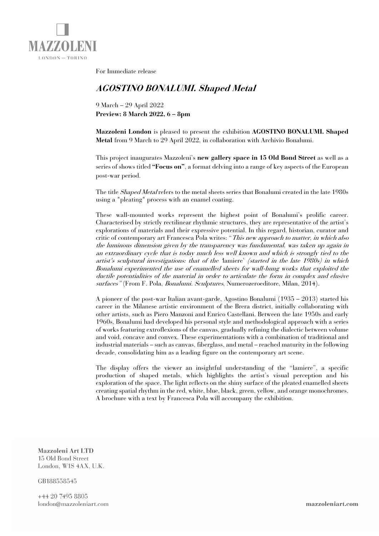

For Immediate release

## **AGOSTINO BONALUMI. Shaped Metal**

9 March – 29 April 2022 **Preview: 8 March 2022, 6 – 8pm**

**Mazzoleni London** is pleased to present the exhibition **AGOSTINO BONALUMI. Shaped Metal** from 9 March to 29 April 2022, in collaboration with Archivio Bonalumi.

This project inaugurates Mazzoleni's **new gallery space in 15 Old Bond Street** as well as a series of shows titled **"Focus on"**, a format delving into a range of key aspects of the European post-war period.

The title Shaped Metal refers to the metal sheets series that Bonalumi created in the late 1980s using a "pleating" process with an enamel coating.

These wall-mounted works represent the highest point of Bonalumi's prolific career. Characterised by strictly rectilinear rhythmic structures, they are representative of the artist's explorations of materials and their expressive potential. In this regard, historian, curator and critic of contemporary art Francesca Pola writes: "This new approach to matter, in which also the luminous dimension given by the transparency was fundamental, was taken up again in an extraordinary cycle that is today much less well known and which is strongly tied to the artist's sculptural investigations: that of the 'lamiere' (started in the late 1980s) in which Bonalumi experimented the use of enamelled sheets for wall-hung works that exploited the ductile potentialities of the material in order to articulate the form in complex and elusive surfaces" (From F. Pola, Bonalumi. Sculptures, Numerozeroeditore, Milan, 2014).

A pioneer of the post-war Italian avant-garde, Agostino Bonalumi (1935 – 2013) started his career in the Milanese artistic environment of the Brera district, initially collaborating with other artists, such as Piero Manzoni and Enrico Castellani. Between the late 1950s and early 1960s, Bonalumi had developed his personal style and methodological approach with a series of works featuring extroflexions of the canvas, gradually refining the dialectic between volume and void, concave and convex. These experimentations with a combination of traditional and industrial materials – such as canvas, fiberglass, and metal – reached maturity in the following decade, consolidating him as a leading figure on the contemporary art scene.

The display offers the viewer an insightful understanding of the "lamiere", a specific production of shaped metals, which highlights the artist's visual perception and his exploration of the space. The light reflects on the shiny surface of the pleated enamelled sheets creating spatial rhythm in the red, white, blue, black, green, yellow, and orange monochromes. A brochure with a text by Francesca Pola will accompany the exhibition.

Mazzoleni Art LTD 15 Old Bond Street London, W1S 4AX, U.K.

GB188558545

+44 20 7495 8805 london@mazzoleniart.com